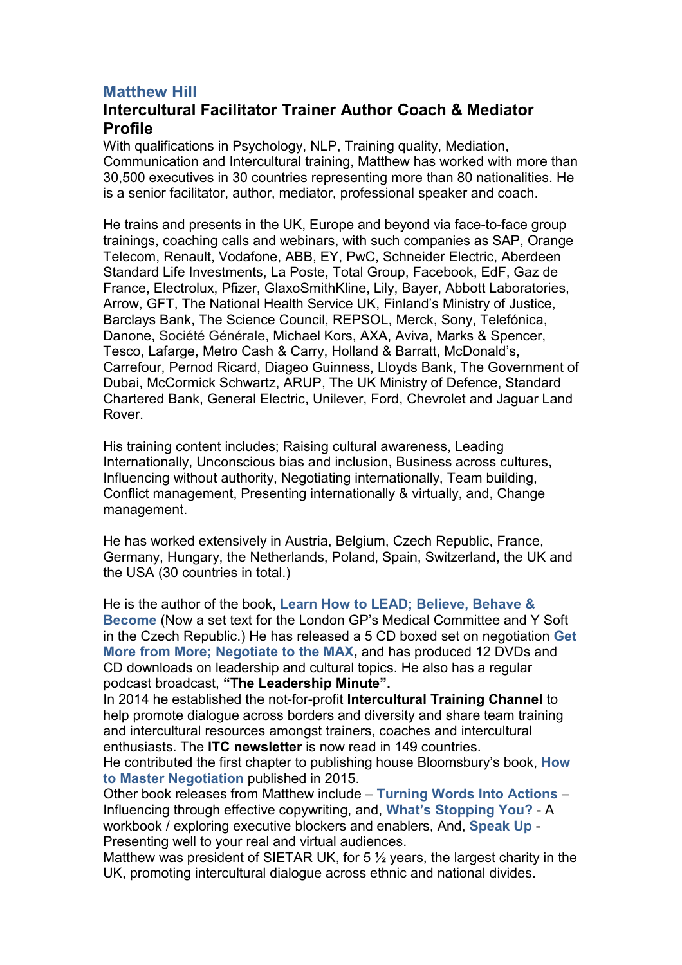## **Matthew Hill**

## **Intercultural Facilitator Trainer Author Coach & Mediator Profile**

With qualifications in Psychology, NLP, Training quality, Mediation, Communication and Intercultural training, Matthew has worked with more than 30,500 executives in 30 countries representing more than 80 nationalities. He is a senior facilitator, author, mediator, professional speaker and coach.

He trains and presents in the UK, Europe and beyond via face-to-face group trainings, coaching calls and webinars, with such companies as SAP, Orange Telecom, Renault, Vodafone, ABB, EY, PwC, Schneider Electric, Aberdeen Standard Life Investments, La Poste, Total Group, Facebook, EdF, Gaz de France, Electrolux, Pfizer, GlaxoSmithKline, Lily, Bayer, Abbott Laboratories, Arrow, GFT, The National Health Service UK, Finland's Ministry of Justice, Barclays Bank, The Science Council, REPSOL, Merck, Sony, Telefónica, Danone, Société Générale, Michael Kors, AXA, Aviva, Marks & Spencer, Tesco, Lafarge, Metro Cash & Carry, Holland & Barratt, McDonald's, Carrefour, Pernod Ricard, Diageo Guinness, Lloyds Bank, The Government of Dubai, McCormick Schwartz, ARUP, The UK Ministry of Defence, Standard Chartered Bank, General Electric, Unilever, Ford, Chevrolet and Jaguar Land Rover.

His training content includes; Raising cultural awareness, Leading Internationally, Unconscious bias and inclusion, Business across cultures, Influencing without authority, Negotiating internationally, Team building, Conflict management, Presenting internationally & virtually, and, Change management.

He has worked extensively in Austria, Belgium, Czech Republic, France, Germany, Hungary, the Netherlands, Poland, Spain, Switzerland, the UK and the USA (30 countries in total.)

He is the author of the book, **Learn How to LEAD; Believe, Behave & Become** (Now a set text for the London GP's Medical Committee and Y Soft in the Czech Republic.) He has released a 5 CD boxed set on negotiation **Get More from More; Negotiate to the MAX,** and has produced 12 DVDs and CD downloads on leadership and cultural topics. He also has a regular podcast broadcast, **"The Leadership Minute".**

In 2014 he established the not-for-profit **Intercultural Training Channel** to help promote dialogue across borders and diversity and share team training and intercultural resources amongst trainers, coaches and intercultural enthusiasts. The **ITC newsletter** is now read in 149 countries.

He contributed the first chapter to publishing house Bloomsbury's book, **How to Master Negotiation** published in 2015.

Other book releases from Matthew include – **Turning Words Into Actions** – Influencing through effective copywriting, and, **What's Stopping You?** - A workbook / exploring executive blockers and enablers, And, **Speak Up** - Presenting well to your real and virtual audiences.

Matthew was president of SIETAR UK, for 5 ½ years, the largest charity in the UK, promoting intercultural dialogue across ethnic and national divides.